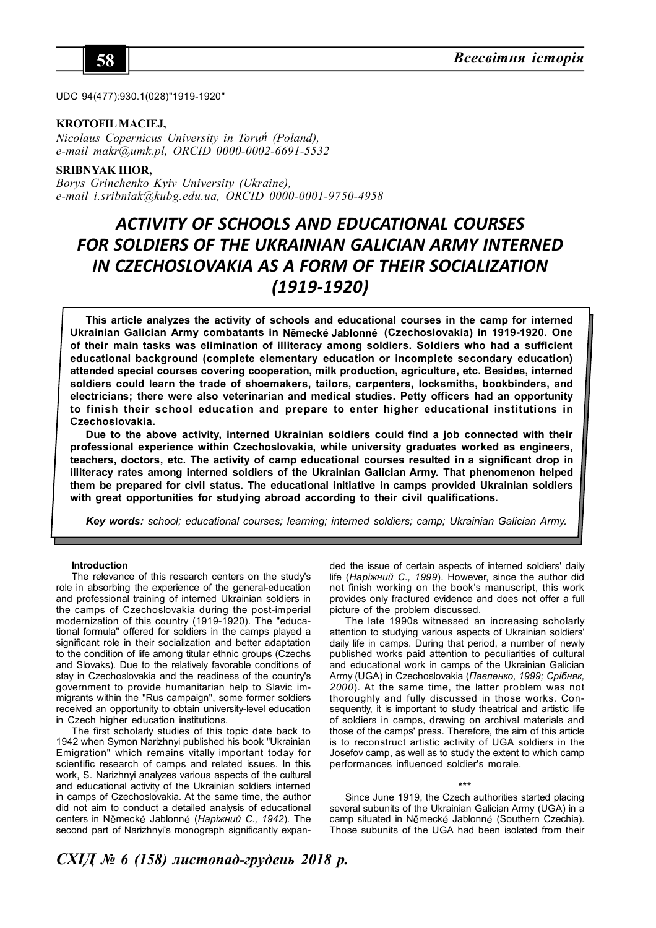

UDC 94(477):930.1(028)"1919-1920"

## **KROTOFIL MACIEJ,**

*Nicolaus Copernicus University in Toruń (Poland), e-mail makr@umk.pl, ORCID 0000-0002-6691-5532*

## **SRIBNYAK IHOR,**

*Borys Grinchenko Kyiv University (Ukraine), e-mail i.sribniak@kubg.edu.ua, ORCID 0000-0001-9750-4958*

# *ACTIVITY OF SCHOOLS AND EDUCATIONAL COURSES FOR SOLDIERS OF THE UKRAINIAN GALICIAN ARMY INTERNED IN CZECHOSLOVAKIA AS A FORM OF THEIR SOCIALIZATION (1919-1920)*

**This article analyzes the activity of schools and educational courses in the camp for interned Ukrainian Galician Army combatants in Německé Jablonné (Czechoslovakia) in 1919-1920. One of their main tasks was elimination of illiteracy among soldiers. Soldiers who had a sufficient educational background (complete elementary education or incomplete secondary education) attended special courses covering cooperation, milk production, agriculture, etc. Besides, interned soldiers could learn the trade of shoemakers, tailors, carpenters, locksmiths, bookbinders, and electricians; there were also veterinarian and medical studies. Petty officers had an opportunity to finish their school education and prepare to enter higher educational institutions in Czechoslovakia.**

**Due to the above activity, interned Ukrainian soldiers could find a job connected with their professional experience within Czechoslovakia, while university graduates worked as engineers, teachers, doctors, etc. The activity of camp educational courses resulted in a significant drop in illiteracy rates among interned soldiers of the Ukrainian Galician Army. That phenomenon helped them be prepared for civil status. The educational initiative in camps provided Ukrainian soldiers with great opportunities for studying abroad according to their civil qualifications.**

*Key words: school; educational courses; learning; interned soldiers; camp; Ukrainian Galician Army.*

### **Introduction**

The relevance of this research centers on the study's role in absorbing the experience of the general-education and professional training of interned Ukrainian soldiers in the camps of Czechoslovakia during the post-imperial modernization of this country (1919-1920). The "educational formula" offered for soldiers in the camps played a significant role in their socialization and better adaptation to the condition of life among titular ethnic groups (Czechs and Slovaks). Due to the relatively favorable conditions of stay in Czechoslovakia and the readiness of the country's government to provide humanitarian help to Slavic immigrants within the "Rus campaign", some former soldiers received an opportunity to obtain university-level education in Czech higher education institutions.

The first scholarly studies of this topic date back to 1942 when Symon Narizhnyi published his book "Ukrainian Emigration" which remains vitally important today for scientific research of camps and related issues. In this work, S. Narizhnyi analyzes various aspects of the cultural and educational activity of the Ukrainian soldiers interned in camps of Czechoslovakia. At the same time, the author did not aim to conduct a detailed analysis of educational centers in Německé Jablonné (*Наріжний С., 1942*). The second part of Narizhnyi's monograph significantly expan-

ded the issue of certain aspects of interned soldiers' daily life (*Наріжний С., 1999*). However, since the author did not finish working on the book's manuscript, this work provides only fractured evidence and does not offer a full picture of the problem discussed.

The late 1990s witnessed an increasing scholarly attention to studying various aspects of Ukrainian soldiers' daily life in camps. During that period, a number of newly published works paid attention to peculiarities of cultural and educational work in camps of the Ukrainian Galician Army (UGA) in Czechoslovakia (*Павленко, 1999; Срібняк, 2000*). At the same time, the latter problem was not thoroughly and fully discussed in those works. Consequently, it is important to study theatrical and artistic life of soldiers in camps, drawing on archival materials and those of the camps' press. Therefore, the aim of this article is to reconstruct artistic activity of UGA soldiers in the Josefov camp, as well as to study the extent to which camp performances influenced soldier's morale.

**\*\*\***

Since June 1919, the Czech authorities started placing several subunits of the Ukrainian Galician Army (UGA) in a camp situated in Německé Jablonné (Southern Czechia). Those subunits of the UGA had been isolated from their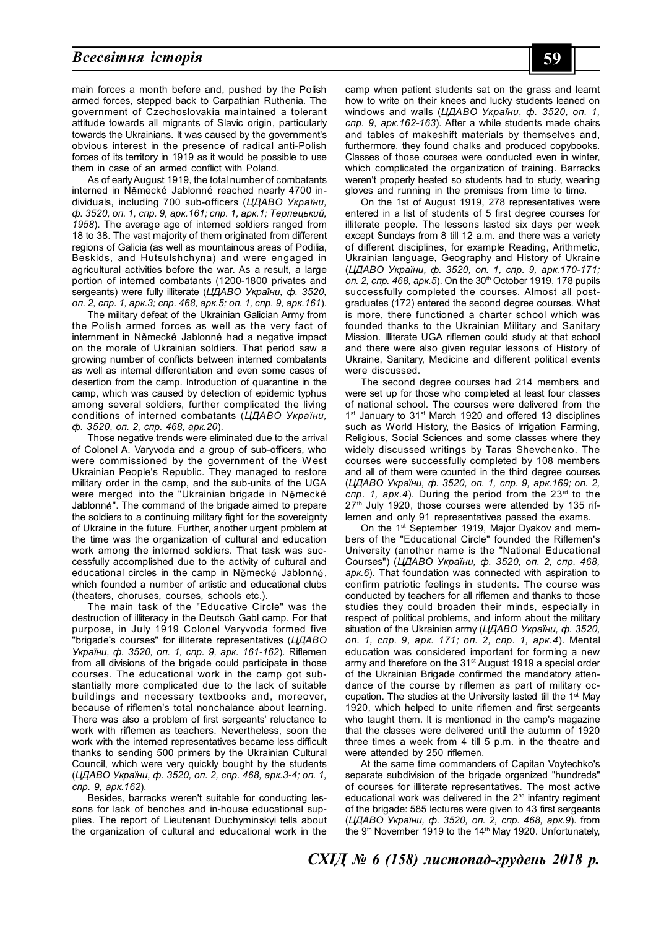## *Всесвітня історія* **59**

main forces a month before and, pushed by the Polish armed forces, stepped back to Carpathian Ruthenia. The government of Czechoslovakia maintained a tolerant attitude towards all migrants of Slavic origin, particularly towards the Ukrainians. It was caused by the government's obvious interest in the presence of radical anti-Polish forces of its territory in 1919 as it would be possible to use them in case of an armed conflict with Poland.

As of early August 1919, the total number of combatants interned in Německé Jablonné reached nearly 4700 individuals, including 700 sub-officers (*ЦДАВО України, ф. 3520, оп. 1, спр. 9, арк.161; спр. 1, арк.1; Терлецький, 1958*). The average age of interned soldiers ranged from 18 to 38. The vast majority of them originated from different regions of Galicia (as well as mountainous areas of Podilia, Beskids, and Hutsulshchyna) and were engaged in agricultural activities before the war. As a result, a large portion of interned combatants (1200-1800 privates and sergeants) were fully illiterate (*ЦДАВО України, ф. 3520, оп. 2, спр. 1, арк.3; спр. 468, арк.5; оп. 1, спр. 9, арк.161*).

The military defeat of the Ukrainian Galician Army from the Polish armed forces as well as the very fact of internment in Německé Jablonné had a negative impact on the morale of Ukrainian soldiers. That period saw a growing number of conflicts between interned combatants as well as internal differentiation and even some cases of desertion from the camp. Introduction of quarantine in the camp, which was caused by detection of epidemic typhus among several soldiers, further complicated the living conditions of interned combatants (*ЦДАВО України, ф. 3520, оп. 2, спр. 468, арк.20*).

Those negative trends were eliminated due to the arrival of Colonel A. Varyvoda and a group of sub-officers, who were commissioned by the government of the West Ukrainian People's Republic. They managed to restore military order in the camp, and the sub-units of the UGA were merged into the "Ukrainian brigade in Německé Jablonné". The command of the brigade aimed to prepare the soldiers to a continuing military fight for the sovereignty of Ukraine in the future. Further, another urgent problem at the time was the organization of cultural and education work among the interned soldiers. That task was successfully accomplished due to the activity of cultural and educational circles in the camp in Německé Jablonné, which founded a number of artistic and educational clubs (theaters, choruses, courses, schools etc.).

The main task of the "Educative Circle" was the destruction of illiteracy in the Deutsch Gabl camp. For that purpose, in July 1919 Colonel Varyvoda formed five "brigade's courses" for illiterate representatives (*ЦДАВО України, ф. 3520, оп. 1, спр. 9, арк. 161-162*). Riflemen from all divisions of the brigade could participate in those courses. The educational work in the camp got substantially more complicated due to the lack of suitable buildings and necessary textbooks and, moreover, because of riflemen's total nonchalance about learning. There was also a problem of first sergeants' reluctance to work with riflemen as teachers. Nevertheless, soon the work with the interned representatives became less difficult thanks to sending 500 primers by the Ukrainian Cultural Council, which were very quickly bought by the students (*ЦДАВО України, ф. 3520, оп. 2, спр. 468, арк.3-4; оп. 1, спр. 9, арк.162*).

Besides, barracks weren't suitable for conducting lessons for lack of benches and in-house educational supplies. The report of Lieutenant Duchyminskyi tells about the organization of cultural and educational work in the

camp when patient students sat on the grass and learnt how to write on their knees and lucky students leaned on windows and walls (*ЦДАВО України, ф. 3520, оп. 1, спр. 9, арк.162-163*). After a while students made chairs and tables of makeshift materials by themselves and, furthermore, they found chalks and produced copybooks. Classes of those courses were conducted even in winter, which complicated the organization of training. Barracks weren't properly heated so students had to study, wearing gloves and running in the premises from time to time.

On the 1st of August 1919, 278 representatives were entered in a list of students of 5 first degree courses for illiterate people. The lessons lasted six days per week except Sundays from 8 till 12 a.m. and there was a variety of different disciplines, for example Reading, Arithmetic, Ukrainian language, Geography and History of Ukraine (*ЦДАВО України, ф. 3520, оп. 1, спр. 9, арк.170-171;* оп. 2, спр. 468, арк.5). On the 30<sup>th</sup> October 1919, 178 pupils successfully completed the courses. Almost all postgraduates (172) entered the second degree courses. What is more, there functioned a charter school which was founded thanks to the Ukrainian Military and Sanitary Mission. Illiterate UGA riflemen could study at that school and there were also given regular lessons of History of Ukraine, Sanitary, Medicine and different political events were discussed.

The second degree courses had 214 members and were set up for those who completed at least four classes of national school. The courses were delivered from the 1<sup>st</sup> January to 31<sup>st</sup> March 1920 and offered 13 disciplines such as World History, the Basics of Irrigation Farming, Religious, Social Sciences and some classes where they widely discussed writings by Taras Shevchenko. The courses were successfully completed by 108 members and all of them were counted in the third degree courses (*ЦДАВО України, ф. 3520, оп. 1, спр. 9, арк.169; оп. 2, спр. 1, арк.4*). During the period from the 23rd to the 27<sup>th</sup> July 1920, those courses were attended by 135 riflemen and only 91 representatives passed the exams.

On the 1<sup>st</sup> September 1919, Major Dyakov and members of the "Educational Circle" founded the Riflemen's University (another name is the "National Educational Courses") (*ЦДАВО України, ф. 3520, оп. 2, спр. 468, арк.6*). That foundation was connected with aspiration to confirm patriotic feelings in students. The course was conducted by teachers for all riflemen and thanks to those studies they could broaden their minds, especially in respect of political problems, and inform about the military situation of the Ukrainian army (*ЦДАВО України, ф. 3520, оп. 1, спр. 9, арк. 171; оп. 2, спр. 1, арк.4*). Mental education was considered important for forming a new army and therefore on the 31<sup>st</sup> August 1919 a special order of the Ukrainian Brigade confirmed the mandatory attendance of the course by riflemen as part of military occupation. The studies at the University lasted till the 1st Mav 1920, which helped to unite riflemen and first sergeants who taught them. It is mentioned in the camp's magazine that the classes were delivered until the autumn of 1920 three times a week from 4 till 5 p.m. in the theatre and were attended by 250 riflemen.

At the same time commanders of Capitan Voytechko's separate subdivision of the brigade organized "hundreds" of courses for illiterate representatives. The most active educational work was delivered in the  $2<sup>nd</sup>$  infantry regiment of the brigade: 585 lectures were given to 43 first sergeants (*ЦДАВО України, ф. 3520, оп. 2, спр. 468, арк.9*). from the 9<sup>th</sup> November 1919 to the 14<sup>th</sup> May 1920. Unfortunately,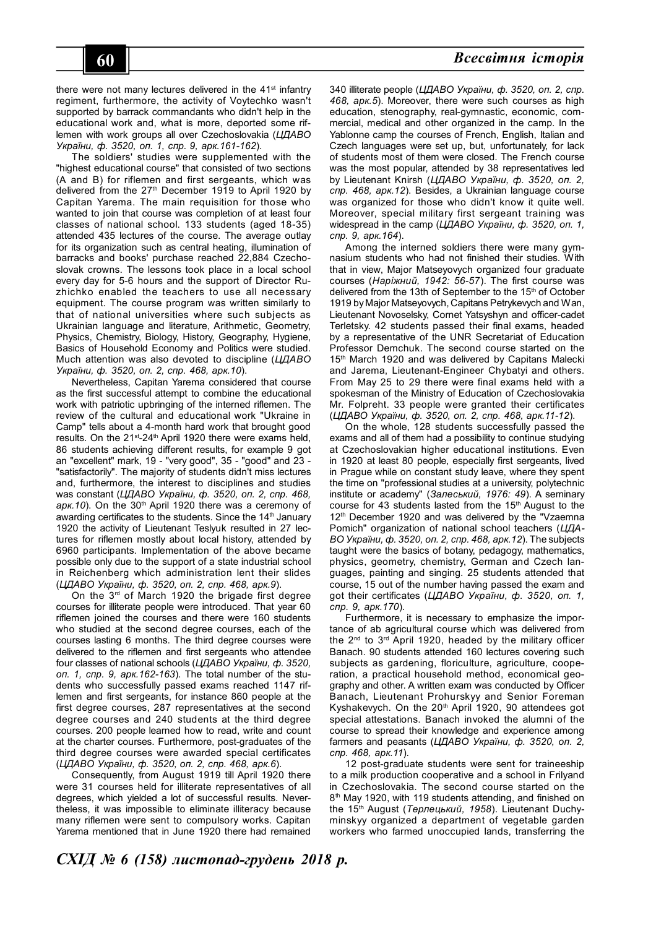there were not many lectures delivered in the 41<sup>st</sup> infantry regiment, furthermore, the activity of Voytechko wasn't supported by barrack commandants who didn't help in the educational work and, what is more, deported some riflemen with work groups all over Czechoslovakia (*ЦДАВО України, ф. 3520, оп. 1, спр. 9, арк.161-162*).

The soldiers' studies were supplemented with the "highest educational course" that consisted of two sections (A and B) for riflemen and first sergeants, which was delivered from the 27<sup>th</sup> December 1919 to April 1920 by Capitan Yarema. The main requisition for those who wanted to join that course was completion of at least four classes of national school. 133 students (aged 18-35) attended 435 lectures of the course. The average outlay for its organization such as central heating, illumination of barracks and books' purchase reached 22,884 Czechoslovak crowns. The lessons took place in a local school every day for 5-6 hours and the support of Director Ruzhichko enabled the teachers to use all necessary equipment. The course program was written similarly to that of national universities where such subjects as Ukrainian language and literature, Arithmetic, Geometry, Physics, Chemistry, Biology, History, Geography, Hygiene, Basics of Household Economy and Politics were studied. Much attention was also devoted to discipline (*ЦДАВО України, ф. 3520, оп. 2, спр. 468, арк.10*).

Nevertheless, Capitan Yarema considered that course as the first successful attempt to combine the educational work with patriotic upbringing of the interned riflemen. The review of the cultural and educational work "Ukraine in Camp" tells about a 4-month hard work that brought good results. On the 21<sup>st</sup>-24<sup>th</sup> April 1920 there were exams held, 86 students achieving different results, for example 9 got an "excellent" mark, 19 - "very good", 35 - "good" and 23 - "satisfactorily". The majority of students didn't miss lectures and, furthermore, the interest to disciplines and studies was constant (*ЦДАВО України, ф. 3520, оп. 2, спр. 468, арк.10*). On the 30th April 1920 there was a ceremony of awarding certificates to the students. Since the 14<sup>th</sup> January 1920 the activity of Lieutenant Teslyuk resulted in 27 lectures for riflemen mostly about local history, attended by 6960 participants. Implementation of the above became possible only due to the support of a state industrial school in Reichenberg which administration lent their slides (*ЦДАВО України, ф. 3520, оп. 2, спр. 468, арк.9*).

On the  $3<sup>rd</sup>$  of March 1920 the brigade first degree courses for illiterate people were introduced. That year 60 riflemen joined the courses and there were 160 students who studied at the second degree courses, each of the courses lasting 6 months. The third degree courses were delivered to the riflemen and first sergeants who attendee four classes of national schools (*ЦДАВО України, ф. 3520, оп. 1, спр. 9, арк.162-163*). The total number of the students who successfully passed exams reached 1147 riflemen and first sergeants, for instance 860 people at the first degree courses, 287 representatives at the second degree courses and 240 students at the third degree courses. 200 people learned how to read, write and count at the charter courses. Furthermore, post-graduates of the third degree courses were awarded special certificates (*ЦДАВО України, ф. 3520, оп. 2, спр. 468, арк.6*).

Consequently, from August 1919 till April 1920 there were 31 courses held for illiterate representatives of all degrees, which yielded a lot of successful results. Nevertheless, it was impossible to eliminate illiteracy because many riflemen were sent to compulsory works. Capitan Yarema mentioned that in June 1920 there had remained

340 illiterate people (*ЦДАВО України, ф. 3520, оп. 2, спр. 468, арк.5*). Moreover, there were such courses as high education, stenography, real-gymnastic, economic, commercial, medical and other organized in the camp. In the Yablonne camp the courses of French, English, Italian and Czech languages were set up, but, unfortunately, for lack of students most of them were closed. The French course was the most popular, attended by 38 representatives led by Lieutenant Knirsh (*ЦДАВО України, ф. 3520, оп. 2, спр. 468, арк.12*). Besides, a Ukrainian language course was organized for those who didn't know it quite well. Moreover, special military first sergeant training was widespread in the camp (*ЦДАВО України, ф. 3520, оп. 1, спр. 9, арк.164*).

Among the interned soldiers there were many gymnasium students who had not finished their studies. With that in view, Major Matseyovych organized four graduate courses (*Наріжний, 1942: 56-57*). The first course was delivered from the 13th of September to the 15<sup>th</sup> of October 1919 by Major Matseyovych, Capitans Petrykevych and Wan, Lieutenant Novoselsky, Cornet Yatsyshyn and officer-cadet Terletsky. 42 students passed their final exams, headed by a representative of the UNR Secretariat of Education Professor Demchuk. The second course started on the 15<sup>th</sup> March 1920 and was delivered by Capitans Malecki and Jarema, Lieutenant-Engineer Chybatyi and others. From May 25 to 29 there were final exams held with a spokesman of the Ministry of Education of Czechoslovakia Mr. Folpreht. 33 people were granted their certificates (*ЦДАВО України, ф. 3520, оп. 2, спр. 468, арк.11-12*).

On the whole, 128 students successfully passed the exams and all of them had a possibility to continue studying at Czechoslovakian higher educational institutions. Even in 1920 at least 80 people, especially first sergeants, lived in Prague while on constant study leave, where they spent the time on "professional studies at a university, polytechnic institute or academy" (*Залеський, 1976: 49*). A seminary course for 43 students lasted from the 15<sup>th</sup> August to the 12<sup>th</sup> December 1920 and was delivered by the "Vzaemna Pomich" organization of national school teachers (*ЦДА-ВО України, ф. 3520, оп. 2, спр. 468, арк.12*). The subjects taught were the basics of botany, pedagogy, mathematics, physics, geometry, chemistry, German and Czech languages, painting and singing. 25 students attended that course, 15 out of the number having passed the exam and got their certificates (*ЦДАВО України, ф. 3520, оп. 1, спр. 9, арк.170*).

Furthermore, it is necessary to emphasize the importance of ab agricultural course which was delivered from the 2nd to 3rd April 1920, headed by the military officer Banach. 90 students attended 160 lectures covering such subjects as gardening, floriculture, agriculture, cooperation, a practical household method, economical geography and other. A written exam was conducted by Officer Banach, Lieutenant Prohurskyy and Senior Foreman Kyshakevych. On the 20<sup>th</sup> April 1920, 90 attendees got special attestations. Banach invoked the alumni of the course to spread their knowledge and experience among farmers and peasants (*ЦДАВО України, ф. 3520, оп. 2, спр. 468, арк.11*).

12 post-graduate students were sent for traineeship to a milk production cooperative and a school in Frilyand in Czechoslovakia. The second course started on the 8 th May 1920, with 119 students attending, and finished on the 15<sup>th</sup> August (*Терлецький, 1958*). Lieutenant Duchyminskyy organized a department of vegetable garden workers who farmed unoccupied lands, transferring the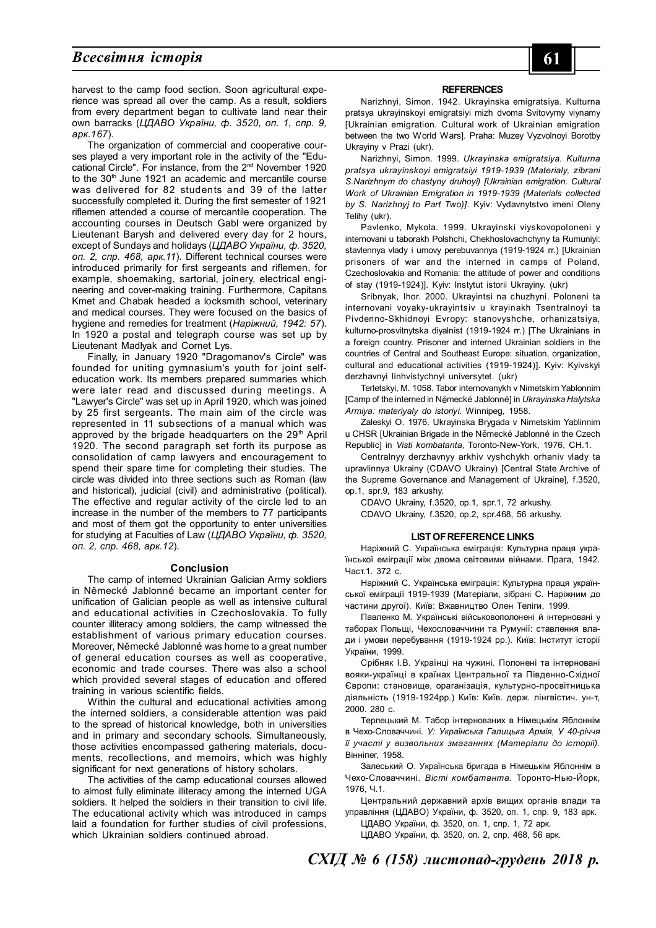## $B$ *сесвітня історія*

The organization of commercial and cooperative courses played a very important role in the activity of the "Educational Circle". For instance, from the 2nd November 1920 to the 30<sup>th</sup> June 1921 an academic and mercantile course was delivered for 82 students and 39 of the latter successfully completed it. During the first semester of 1921 riflemen attended a course of mercantile cooperation. The accounting courses in Deutsch Gabl were organized by Lieutenant Barysh and delivered every day for 2 hours, except of Sundays and holidays (*ЦДАВО України, ф. 3520, оп. 2, спр. 468, арк.11*). Different technical courses were introduced primarily for first sergeants and riflemen, for example, shoemaking, sartorial, joinery, electrical engineering and cover-making training. Furthermore, Capitans Kmet and Chabak headed a locksmith school, veterinary and medical courses. They were focused on the basics of hygiene and remedies for treatment (*Наріжний, 1942: 57*). In 1920 a postal and telegraph course was set up by Lieutenant Madlyak and Cornet Lys.

Finally, in January 1920 "Dragomanov's Circle" was founded for uniting gymnasium's youth for joint selfeducation work. Its members prepared summaries which were later read and discussed during meetings. A "Lawyer's Circle" was set up in April 1920, which was joined by 25 first sergeants. The main aim of the circle was represented in 11 subsections of a manual which was approved by the brigade headquarters on the  $29<sup>th</sup>$  April 1920. The second paragraph set forth its purpose as consolidation of camp lawyers and encouragement to spend their spare time for completing their studies. The circle was divided into three sections such as Roman (law and historical), judicial (civil) and administrative (political). The effective and regular activity of the circle led to an increase in the number of the members to 77 participants and most of them got the opportunity to enter universities for studying at Faculties of Law (*ЦДАВО України, ф. 3520, оп. 2, спр. 468, арк.12*).

#### **Conclusion**

The camp of interned Ukrainian Galician Army soldiers in Německé Jablonné became an important center for unification of Galician people as well as intensive cultural and educational activities in Czechoslovakia. To fully counter illiteracy among soldiers, the camp witnessed the establishment of various primary education courses. Moreover, Německé Jablonné was home to a great number of general education courses as well as cooperative, economic and trade courses. There was also a school which provided several stages of education and offered training in various scientific fields.

Within the cultural and educational activities among the interned soldiers, a considerable attention was paid to the spread of historical knowledge, both in universities and in primary and secondary schools. Simultaneously, those activities encompassed gathering materials, documents, recollections, and memoirs, which was highly significant for next generations of history scholars.

The activities of the camp educational courses allowed to almost fully eliminate illiteracy among the interned UGA soldiers. It helped the soldiers in their transition to civil life. The educational activity which was introduced in camps laid a foundation for further studies of civil professions, which Ukrainian soldiers continued abroad.

#### **REFERENCES**

Narizhnyi, Simon. 1942. Ukrayinska emigratsiya. Kulturna pratsya ukrayinskoyi emigratsiyi mizh dvoma Svitovymy viynamy [Ukrainian emigration. Cultural work of Ukrainian emigration between the two World Wars]. Praha: Muzey Vyzvolnoyi Borotby Ukrayiny v Prazi (ukr).

Narizhnyi, Simon. 1999. *Ukrayinska emigratsiya. Kulturna pratsya ukrayinskoyi emigratsiyi 1919-1939 (Materialy, zibrani S.Narizhnym do chastyny druhoyi) [Ukrainian emigration. Cultural Work of Ukrainian Emigration in 1919-1939 (Materials collected by S. Narizhnyj to Part Two)]*. Kyiv: Vydavnytstvo imeni Oleny Telihy (ukr).

Pavlenko, Mykola. 1999. Ukrayinski viyskovopoloneni y internovani u taborakh Polshchi, Chekhoslovachchyny ta Rumuniyi: stavlennya vlady i umovy perebuvannya (1919-1924 rr.) [Ukrainian prisoners of war and the interned in camps of Poland, Czechoslovakia and Romania: the attitude of power and conditions of stay (1919-1924)]. Kyiv: Instytut istorii Ukrayiny. (ukr)

Sribnyak, Ihor. 2000. Ukrayintsi na chuzhyni. Poloneni ta internovani voyaky-ukrayintsiv u krayinakh Tsentralnoyi ta Pivdenno-Skhidnoyi Evropy: stanovyshche, orhanizatsiya, kulturno-prosvitnytska diyalnist (1919-1924 rr.) [The Ukrainians in a foreign country. Prisoner and interned Ukrainian soldiers in the countries of Central and Southeast Europe: situation, organization, cultural and educational activities (1919-1924)]. Kyiv: Kyivskyi derzhavnyi linhvistychnyi universytet. (ukr)

Terletskyi, M. 1058. Tabor internovanykh v Nimetskim Yablonnim [Camp of the interned in Německé Jablonné] in *Ukrayinska Halytska Armiya: materiyaly do istoriyi*. Winnipeg, 1958.

Zaleskyi O. 1976. Ukrayinska Brygada v Nimetskim Yablinnim u CHSR [Ukrainian Brigade in the Německé Jablonné in the Czech Republic] in *Visti kombatanta*, Toronto-New-York, 1976, CH.1.

Centralnyy derzhavnyy arkhiv vyshchykh orhaniv vlady ta upravlinnya Ukrainy (CDAVO Ukrainy) [Central State Archive of the Supreme Governance and Management of Ukraine], f.3520, op.1, spr.9, 183 arkushy.

CDAVO Ukrainy, f.3520, op.1, spr.1, 72 arkushy. CDAVO Ukrainy, f.3520, op.2, spr.468, 56 arkushy.

#### **LIST OF REFERENCE LINKS**

Наріжний С. Українська еміграція: Культурна праця української еміграції між двома світовими війнами. Прага, 1942. Част.1. 372 с.

Наріжний С. Українська еміграція: Культурна праця української еміграції 1919-1939 (Матеріали, зібрані С. Наріжним до частини другої). Київ: Вжавництво Олен Теліги, 1999.

Павленко М. Українські військовополонені й інтерновані у таборах Польщі, Чехословаччини та Румунії: ставлення влади і умови перебування (1919-1924 рр.). Київ: Інститут історії України, 1999.

Срібняк І.В. Українці на чужині. Полонені та інтерновані вояки-українці в країнах Центральної та Південно-Східної Європи: становище, ораганізація, культурно-просвітницька діяльність (1919-1924рр.) Київ: Київ. держ. лінгвістич. ун-т, 2000. 280 с.

Терлецький М. Табор інтернованих в Німецькім Яблоннім в Чехо-Словаччині. *У: Українська Галицька Армія, У 40-річчя її участі у визвольних змаганнях (Матеріали до історії).* Вінніпег, 1958.

Залеський О. Українська бригада в Німецькім Яблоннім в Чехо-Словаччині. *Вісті комбатанта.* Торонто-Нью-Йорк, 1976, Ч.1.

Центральний державний архів вищих органів влади та управління (ЦДАВО) України, ф. 3520, оп. 1, спр. 9, 183 арк.

ЦДАВО України, ф. 3520, оп. 1, спр. 1, 72 арк. ЦДАВО України, ф. 3520, оп. 2, спр. 468, 56 арк.

*СХІД № 6 (158) листопад-грудень 2018 р.*